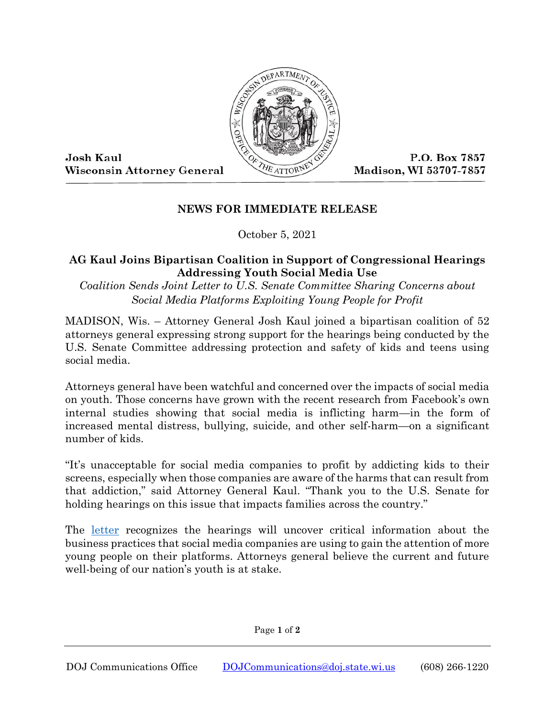

Josh Kaul **Wisconsin Attorney General** 

P.O. Box 7857 Madison, WI 53707-7857

## **NEWS FOR IMMEDIATE RELEASE**

October 5, 2021

## **AG Kaul Joins Bipartisan Coalition in Support of Congressional Hearings Addressing Youth Social Media Use**

## *Coalition Sends Joint Letter to U.S. Senate Committee Sharing Concerns about Social Media Platforms Exploiting Young People for Profit*

MADISON, Wis. – Attorney General Josh Kaul joined a bipartisan coalition of 52 attorneys general expressing strong support for the hearings being conducted by the U.S. Senate Committee addressing protection and safety of kids and teens using social media.

Attorneys general have been watchful and concerned over the impacts of social media on youth. Those concerns have grown with the recent research from Facebook's own internal studies showing that social media is inflicting harm—in the form of increased mental distress, bullying, suicide, and other self-harm—on a significant number of kids.

"It's unacceptable for social media companies to profit by addicting kids to their screens, especially when those companies are aware of the harms that can result from that addiction," said Attorney General Kaul. "Thank you to the U.S. Senate for holding hearings on this issue that impacts families across the country."

The [letter](https://www.doj.state.wi.us/sites/default/files/news-media/Final%20-%20NAAG%20Letter%20to%20Senate%20Subcommittee%20on%20Consumer%20Protection%20Product%20Safety%20and%20Data%20Security.pdf) recognizes the hearings will uncover critical information about the business practices that social media companies are using to gain the attention of more young people on their platforms. Attorneys general believe the current and future well-being of our nation's youth is at stake.